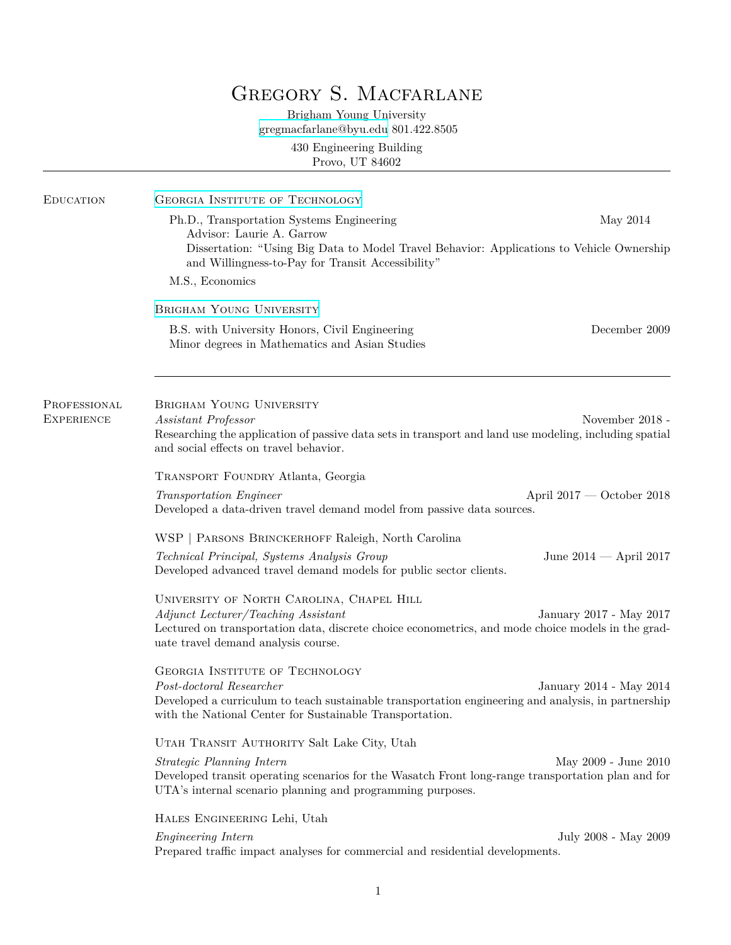# GREGORY S. MACFARLANE

Brigham Young University [gregmacfarlane@byu.edu](mailto:gregmacfarlane@byu.edu) 801.422.8505

> 430 Engineering Building Provo, UT 84602

| Ph.D., Transportation Systems Engineering<br>Advisor: Laurie A. Garrow<br>Dissertation: "Using Big Data to Model Travel Behavior: Applications to Vehicle Ownership                                                    | May 2014        |
|------------------------------------------------------------------------------------------------------------------------------------------------------------------------------------------------------------------------|-----------------|
|                                                                                                                                                                                                                        |                 |
| and Willingness-to-Pay for Transit Accessibility"                                                                                                                                                                      |                 |
| M.S., Economics                                                                                                                                                                                                        |                 |
| BRIGHAM YOUNG UNIVERSITY                                                                                                                                                                                               |                 |
| B.S. with University Honors, Civil Engineering<br>Minor degrees in Mathematics and Asian Studies                                                                                                                       | December 2009   |
| <b>BRIGHAM YOUNG UNIVERSITY</b><br>PROFESSIONAL                                                                                                                                                                        |                 |
| <b>EXPERIENCE</b><br>Assistant Professor<br>Researching the application of passive data sets in transport and land use modeling, including spatial<br>and social effects on travel behavior.                           | November 2018 - |
| TRANSPORT FOUNDRY Atlanta, Georgia                                                                                                                                                                                     |                 |
| April $2017$ — October 2018<br>Transportation Engineer<br>Developed a data-driven travel demand model from passive data sources.                                                                                       |                 |
| WSP   PARSONS BRINCKERHOFF Raleigh, North Carolina                                                                                                                                                                     |                 |
| Technical Principal, Systems Analysis Group<br>June $2014$ – April 2017<br>Developed advanced travel demand models for public sector clients.                                                                          |                 |
| UNIVERSITY OF NORTH CAROLINA, CHAPEL HILL                                                                                                                                                                              |                 |
| Adjunct Lecturer/Teaching Assistant<br>January 2017 - May 2017<br>Lectured on transportation data, discrete choice econometrics, and mode choice models in the grad-<br>uate travel demand analysis course.            |                 |
| <b>GEORGIA INSTITUTE OF TECHNOLOGY</b>                                                                                                                                                                                 |                 |
| Post-doctoral Researcher<br>January 2014 - May 2014<br>Developed a curriculum to teach sustainable transportation engineering and analysis, in partnership<br>with the National Center for Sustainable Transportation. |                 |
| UTAH TRANSIT AUTHORITY Salt Lake City, Utah                                                                                                                                                                            |                 |
| Strategic Planning Intern<br>May 2009 - June 2010                                                                                                                                                                      |                 |
| Developed transit operating scenarios for the Wasatch Front long-range transportation plan and for<br>UTA's internal scenario planning and programming purposes.                                                       |                 |
| HALES ENGINEERING Lehi, Utah                                                                                                                                                                                           |                 |
| Engineering Intern<br>July 2008 - May 2009<br>Prepared traffic impact analyses for commercial and residential developments.                                                                                            |                 |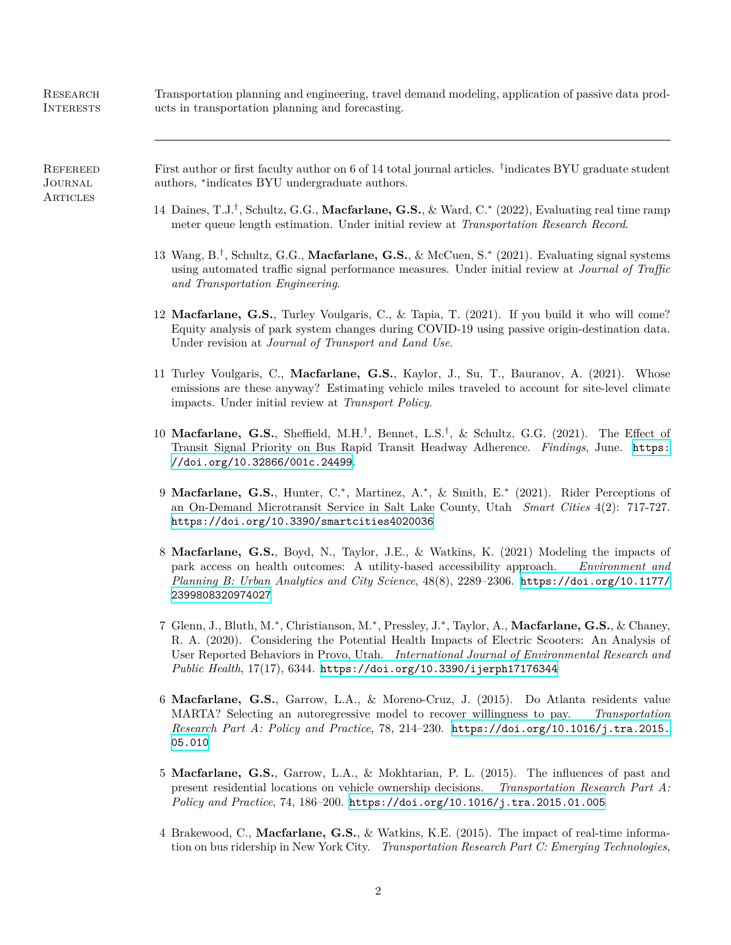**RESEARCH INTERESTS** Transportation planning and engineering, travel demand modeling, application of passive data products in transportation planning and forecasting. **REFEREED JOURNAL ARTICLES** First author or first faculty author on 6 of 14 total journal articles. *†* indicates BYU graduate student authors, *∗* indicates BYU undergraduate authors. 14 Daines, T.J.*†* , Schultz, G.G., **Macfarlane, G.S.**, & Ward, C.*∗* (2022), Evaluating real time ramp meter queue length estimation. Under initial review at *Transportation Research Record*. 13 Wang, B.*†* , Schultz, G.G., **Macfarlane, G.S.**, & McCuen, S.*∗* (2021). Evaluating signal systems using automated traffic signal performance measures. Under initial review at *Journal of Traffic and Transportation Engineering*. 12 **Macfarlane, G.S.**, Turley Voulgaris, C., & Tapia, T. (2021). If you build it who will come? Equity analysis of park system changes during COVID-19 using passive origin-destination data. Under revision at *Journal of Transport and Land Use*. 11 Turley Voulgaris, C., **Macfarlane, G.S.**, Kaylor, J., Su, T., Bauranov, A. (2021). Whose emissions are these anyway? Estimating vehicle miles traveled to account for site-level climate impacts. Under initial review at *Transport Policy*. 10 **Macfarlane, G.S.**, Sheffield, M.H.*†* , Bennet, L.S.*†* , & Schultz, G.G. (2021). The Effect of Transit Signal Priority on Bus Rapid Transit Headway Adherence. *Findings*, June. [https:](https://doi.org/10.32866/001c.24499) [//doi.org/10.32866/001c.24499](https://doi.org/10.32866/001c.24499). 9 **Macfarlane, G.S.**, Hunter, C.<sup>\*</sup>, Martinez, A.<sup>\*</sup>, & Smith, E.<sup>\*</sup> (2021). Rider Perceptions of an On-Demand Microtransit Service in Salt Lake County, Utah *Smart Cities* 4(2): 717-727. <https://doi.org/10.3390/smartcities4020036> 8 **Macfarlane, G.S.**, Boyd, N., Taylor, J.E., & Watkins, K. (2021) Modeling the impacts of park access on health outcomes: A utility-based accessibility approach. *Environment and Planning B: Urban Analytics and City Science*, 48(8), 2289–2306. [https://doi.org/10.1177/](https://doi.org/10.1177/2399808320974027) [2399808320974027](https://doi.org/10.1177/2399808320974027)

- 7 Glenn, J., Bluth, M.*<sup>∗</sup>* , Christianson, M.*<sup>∗</sup>* , Pressley, J.*<sup>∗</sup>* , Taylor, A., **Macfarlane, G.S.**, & Chaney, R. A. (2020). Considering the Potential Health Impacts of Electric Scooters: An Analysis of User Reported Behaviors in Provo, Utah. *International Journal of Environmental Research and Public Health*, 17(17), 6344. <https://doi.org/10.3390/ijerph17176344>
- 6 **Macfarlane, G.S.**, Garrow, L.A., & Moreno-Cruz, J. (2015). Do Atlanta residents value MARTA? Selecting an autoregressive model to recover willingness to pay. *Transportation Research Part A: Policy and Practice*, 78, 214–230. [https://doi.org/10.1016/j.tra.2015.](https://doi.org/10.1016/j.tra.2015.05.010) [05.010](https://doi.org/10.1016/j.tra.2015.05.010)
- 5 **Macfarlane, G.S.**, Garrow, L.A., & Mokhtarian, P. L. (2015). The influences of past and present residential locations on vehicle ownership decisions. *Transportation Research Part A: Policy and Practice*, 74, 186–200. <https://doi.org/10.1016/j.tra.2015.01.005>
- 4 Brakewood, C., **Macfarlane, G.S.**, & Watkins, K.E. (2015). The impact of real-time information on bus ridership in New York City. *Transportation Research Part C: Emerging Technologies*,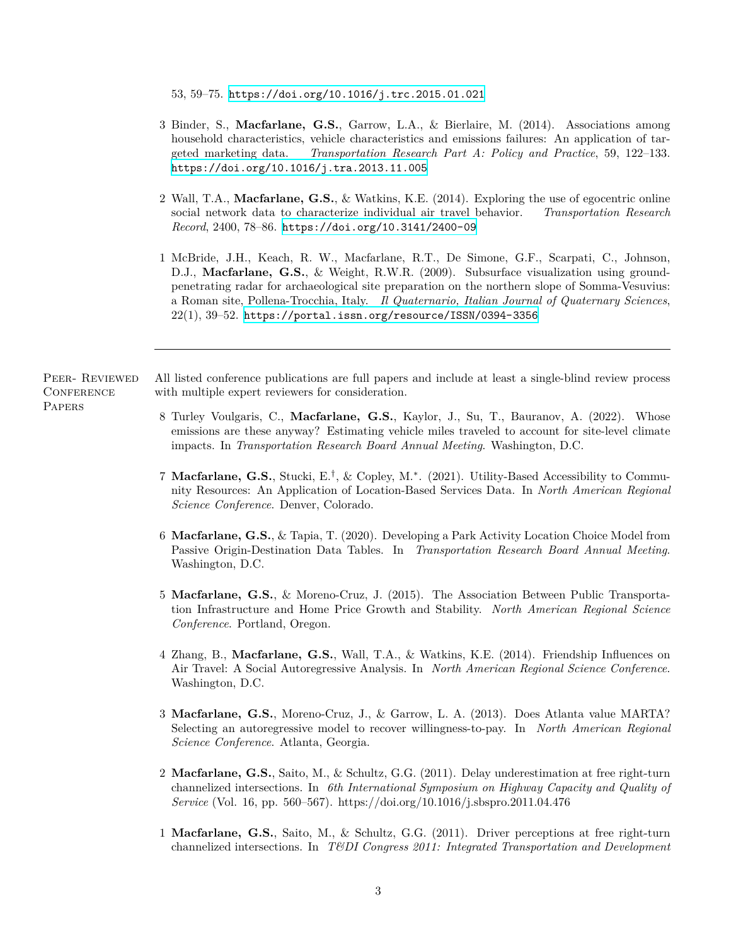53, 59–75. <https://doi.org/10.1016/j.trc.2015.01.021>

- 3 Binder, S., **Macfarlane, G.S.**, Garrow, L.A., & Bierlaire, M. (2014). Associations among household characteristics, vehicle characteristics and emissions failures: An application of targeted marketing data. *Transportation Research Part A: Policy and Practice*, 59, 122–133. <https://doi.org/10.1016/j.tra.2013.11.005>
- 2 Wall, T.A., **Macfarlane, G.S.**, & Watkins, K.E. (2014). Exploring the use of egocentric online social network data to characterize individual air travel behavior. *Transportation Research Record*, 2400, 78–86. <https://doi.org/10.3141/2400-09>
- 1 McBride, J.H., Keach, R. W., Macfarlane, R.T., De Simone, G.F., Scarpati, C., Johnson, D.J., **Macfarlane, G.S.**, & Weight, R.W.R. (2009). Subsurface visualization using groundpenetrating radar for archaeological site preparation on the northern slope of Somma-Vesuvius: a Roman site, Pollena-Trocchia, Italy. *Il Quaternario, Italian Journal of Quaternary Sciences*, 22(1), 39–52. <https://portal.issn.org/resource/ISSN/0394-3356>

Peer- Reviewed **CONFERENCE PAPERS** 

All listed conference publications are full papers and include at least a single-blind review process with multiple expert reviewers for consideration.

- 8 Turley Voulgaris, C., **Macfarlane, G.S.**, Kaylor, J., Su, T., Bauranov, A. (2022). Whose emissions are these anyway? Estimating vehicle miles traveled to account for site-level climate impacts. In *Transportation Research Board Annual Meeting*. Washington, D.C.
- 7 **Macfarlane, G.S.**, Stucki, E.*†* , & Copley, M.*<sup>∗</sup>* . (2021). Utility-Based Accessibility to Community Resources: An Application of Location-Based Services Data. In *North American Regional Science Conference*. Denver, Colorado.
- 6 **Macfarlane, G.S.**, & Tapia, T. (2020). Developing a Park Activity Location Choice Model from Passive Origin-Destination Data Tables. In *Transportation Research Board Annual Meeting*. Washington, D.C.
- 5 **Macfarlane, G.S.**, & Moreno-Cruz, J. (2015). The Association Between Public Transportation Infrastructure and Home Price Growth and Stability. *North American Regional Science Conference*. Portland, Oregon.
- 4 Zhang, B., **Macfarlane, G.S.**, Wall, T.A., & Watkins, K.E. (2014). Friendship Influences on Air Travel: A Social Autoregressive Analysis. In *North American Regional Science Conference*. Washington, D.C.
- 3 **Macfarlane, G.S.**, Moreno-Cruz, J., & Garrow, L. A. (2013). Does Atlanta value MARTA? Selecting an autoregressive model to recover willingness-to-pay. In *North American Regional Science Conference*. Atlanta, Georgia.
- 2 **Macfarlane, G.S.**, Saito, M., & Schultz, G.G. (2011). Delay underestimation at free right-turn channelized intersections. In *6th International Symposium on Highway Capacity and Quality of Service* (Vol. 16, pp. 560–567). https://doi.org/10.1016/j.sbspro.2011.04.476
- 1 **Macfarlane, G.S.**, Saito, M., & Schultz, G.G. (2011). Driver perceptions at free right-turn channelized intersections. In *T&DI Congress 2011: Integrated Transportation and Development*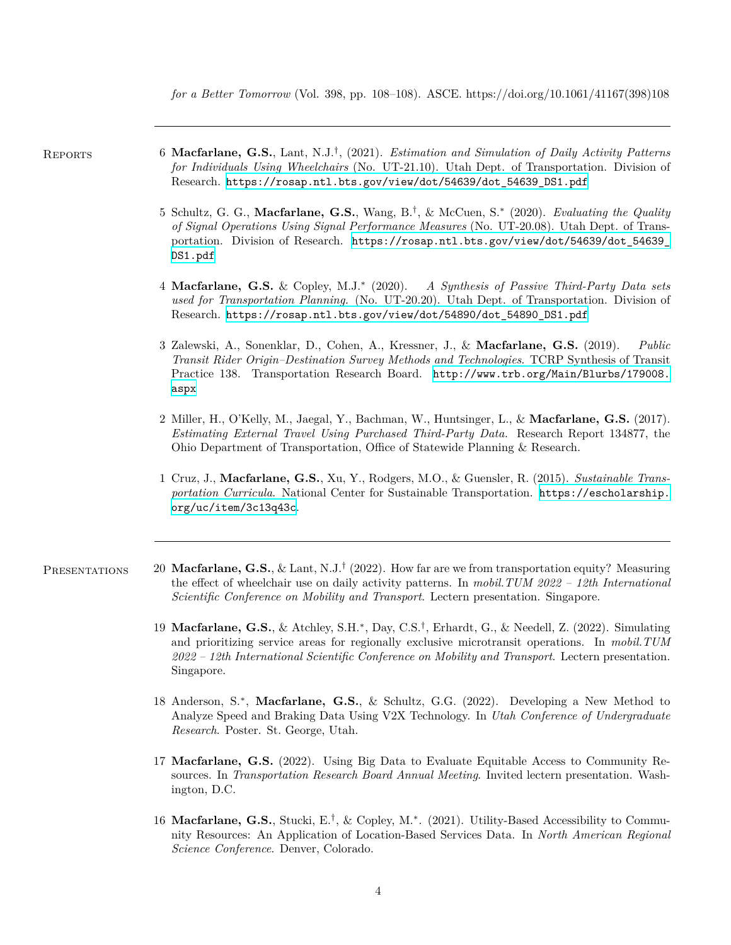*for a Better Tomorrow* (Vol. 398, pp. 108–108). ASCE. https://doi.org/10.1061/41167(398)108

- Reports 6 **Macfarlane, G.S.**, Lant, N.J.*†* , (2021). *Estimation and Simulation of Daily Activity Patterns for Individuals Using Wheelchairs* (No. UT-21.10). Utah Dept. of Transportation. Division of Research. [https://rosap.ntl.bts.gov/view/dot/54639/dot\\_54639\\_DS1.pdf](https://rosap.ntl.bts.gov/view/dot/54639/dot_54639_DS1.pdf)
	- 5 Schultz, G. G., **Macfarlane, G.S.**, Wang, B.*†* , & McCuen, S.*∗* (2020). *Evaluating the Quality of Signal Operations Using Signal Performance Measures* (No. UT-20.08). Utah Dept. of Transportation. Division of Research. [https://rosap.ntl.bts.gov/view/dot/54639/dot\\_54639\\_](https://rosap.ntl.bts.gov/view/dot/54639/dot_54639_DS1.pdf) [DS1.pdf](https://rosap.ntl.bts.gov/view/dot/54639/dot_54639_DS1.pdf)
	- 4 **Macfarlane, G.S.** & Copley, M.J.*∗* (2020). *A Synthesis of Passive Third-Party Data sets used for Transportation Planning.* (No. UT-20.20). Utah Dept. of Transportation. Division of Research. [https://rosap.ntl.bts.gov/view/dot/54890/dot\\_54890\\_DS1.pdf](https://rosap.ntl.bts.gov/view/dot/54890/dot_54890_DS1.pdf)
	- 3 Zalewski, A., Sonenklar, D., Cohen, A., Kressner, J., & **Macfarlane, G.S.** (2019). *Public Transit Rider Origin–Destination Survey Methods and Technologies*. TCRP Synthesis of Transit Practice 138. Transportation Research Board. [http://www.trb.org/Main/Blurbs/179008.](http://www.trb.org/Main/Blurbs/179008.aspx) [aspx](http://www.trb.org/Main/Blurbs/179008.aspx)
	- 2 Miller, H., O'Kelly, M., Jaegal, Y., Bachman, W., Huntsinger, L., & **Macfarlane, G.S.** (2017). *Estimating External Travel Using Purchased Third-Party Data.* Research Report 134877, the Ohio Department of Transportation, Office of Statewide Planning & Research.
	- 1 Cruz, J., **Macfarlane, G.S.**, Xu, Y., Rodgers, M.O., & Guensler, R. (2015). *Sustainable Transportation Curricula*. National Center for Sustainable Transportation. [https://escholarship.](https://escholarship.org/uc/item/3c13q43c) [org/uc/item/3c13q43c](https://escholarship.org/uc/item/3c13q43c).
- PRESENTATIONS 20 Mac**farlane, G.S.**, & Lant, N.J.<sup>†</sup> (2022). How far are we from transportation equity? Measuring the effect of wheelchair use on daily activity patterns. In *mobil.TUM 2022 – 12th International Scientific Conference on Mobility and Transport*. Lectern presentation. Singapore.
	- 19 **Macfarlane, G.S.**, & Atchley, S.H.*<sup>∗</sup>* , Day, C.S.*†* , Erhardt, G., & Needell, Z. (2022). Simulating and prioritizing service areas for regionally exclusive microtransit operations. In *mobil.TUM 2022 – 12th International Scientific Conference on Mobility and Transport*. Lectern presentation. Singapore.
	- 18 Anderson, S.*<sup>∗</sup>* , **Macfarlane, G.S.**, & Schultz, G.G. (2022). Developing a New Method to Analyze Speed and Braking Data Using V2X Technology. In *Utah Conference of Undergraduate Research*. Poster. St. George, Utah.
	- 17 **Macfarlane, G.S.** (2022). Using Big Data to Evaluate Equitable Access to Community Resources. In *Transportation Research Board Annual Meeting*. Invited lectern presentation. Washington, D.C.
	- 16 **Macfarlane, G.S.**, Stucki, E.*†* , & Copley, M.*<sup>∗</sup>* . (2021). Utility-Based Accessibility to Community Resources: An Application of Location-Based Services Data. In *North American Regional Science Conference*. Denver, Colorado.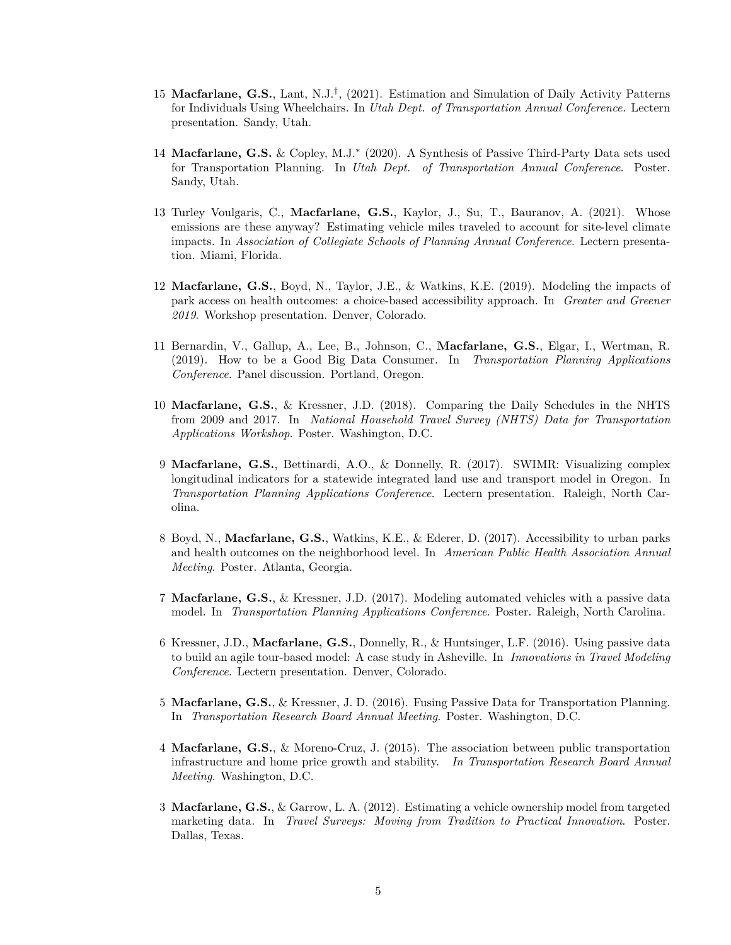- 15 **Macfarlane, G.S.**, Lant, N.J.*†* , (2021). Estimation and Simulation of Daily Activity Patterns for Individuals Using Wheelchairs. In *Utah Dept. of Transportation Annual Conference.* Lectern presentation. Sandy, Utah.
- 14 **Macfarlane, G.S.** & Copley, M.J.*∗* (2020). A Synthesis of Passive Third-Party Data sets used for Transportation Planning. In *Utah Dept. of Transportation Annual Conference*. Poster. Sandy, Utah.
- 13 Turley Voulgaris, C., **Macfarlane, G.S.**, Kaylor, J., Su, T., Bauranov, A. (2021). Whose emissions are these anyway? Estimating vehicle miles traveled to account for site-level climate impacts. In *Association of Collegiate Schools of Planning Annual Conference*. Lectern presentation. Miami, Florida.
- 12 **Macfarlane, G.S.**, Boyd, N., Taylor, J.E., & Watkins, K.E. (2019). Modeling the impacts of park access on health outcomes: a choice-based accessibility approach. In *Greater and Greener 2019*. Workshop presentation. Denver, Colorado.
- 11 Bernardin, V., Gallup, A., Lee, B., Johnson, C., **Macfarlane, G.S.**, Elgar, I., Wertman, R. (2019). How to be a Good Big Data Consumer. In *Transportation Planning Applications Conference*. Panel discussion. Portland, Oregon.
- 10 **Macfarlane, G.S.**, & Kressner, J.D. (2018). Comparing the Daily Schedules in the NHTS from 2009 and 2017. In *National Household Travel Survey (NHTS) Data for Transportation Applications Workshop*. Poster. Washington, D.C.
- 9 **Macfarlane, G.S.**, Bettinardi, A.O., & Donnelly, R. (2017). SWIMR: Visualizing complex longitudinal indicators for a statewide integrated land use and transport model in Oregon. In *Transportation Planning Applications Conference*. Lectern presentation. Raleigh, North Carolina.
- 8 Boyd, N., **Macfarlane, G.S.**, Watkins, K.E., & Ederer, D. (2017). Accessibility to urban parks and health outcomes on the neighborhood level. In *American Public Health Association Annual Meeting*. Poster. Atlanta, Georgia.
- 7 **Macfarlane, G.S.**, & Kressner, J.D. (2017). Modeling automated vehicles with a passive data model. In *Transportation Planning Applications Conference*. Poster. Raleigh, North Carolina.
- 6 Kressner, J.D., **Macfarlane, G.S.**, Donnelly, R., & Huntsinger, L.F. (2016). Using passive data to build an agile tour-based model: A case study in Asheville. In *Innovations in Travel Modeling Conference*. Lectern presentation. Denver, Colorado.
- 5 **Macfarlane, G.S.**, & Kressner, J. D. (2016). Fusing Passive Data for Transportation Planning. In *Transportation Research Board Annual Meeting*. Poster. Washington, D.C.
- 4 **Macfarlane, G.S.**, & Moreno-Cruz, J. (2015). The association between public transportation infrastructure and home price growth and stability. *In Transportation Research Board Annual Meeting*. Washington, D.C.
- 3 **Macfarlane, G.S.**, & Garrow, L. A. (2012). Estimating a vehicle ownership model from targeted marketing data. In *Travel Surveys: Moving from Tradition to Practical Innovation*. Poster. Dallas, Texas.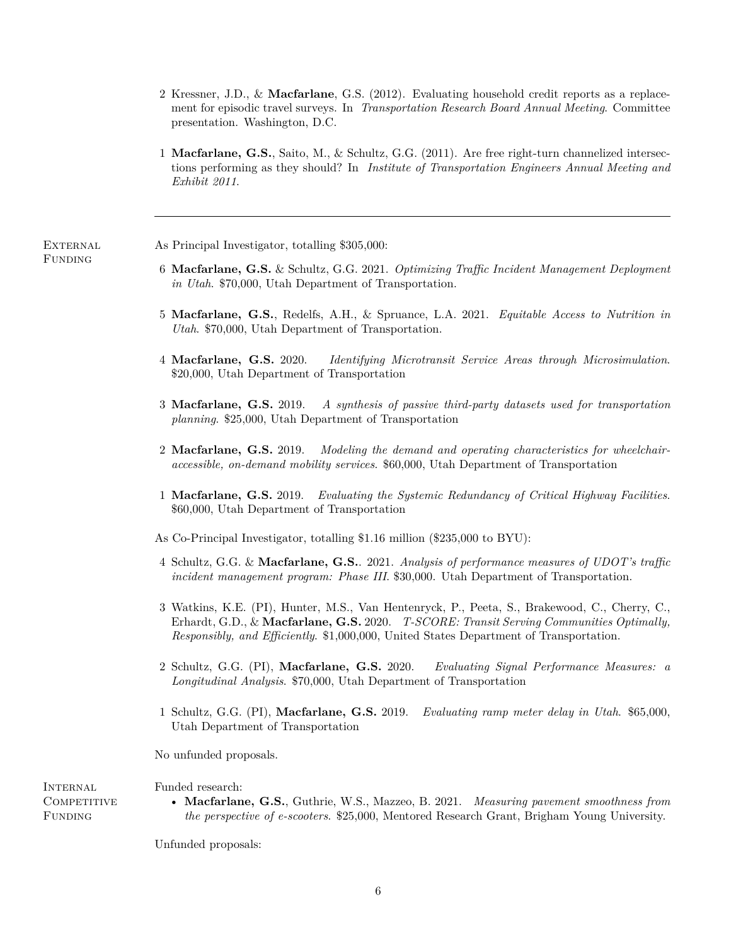- 2 Kressner, J.D., & **Macfarlane**, G.S. (2012). Evaluating household credit reports as a replacement for episodic travel surveys. In *Transportation Research Board Annual Meeting*. Committee presentation. Washington, D.C.
- 1 **Macfarlane, G.S.**, Saito, M., & Schultz, G.G. (2011). Are free right-turn channelized intersections performing as they should? In *Institute of Transportation Engineers Annual Meeting and Exhibit 2011*.

**EXTERNAL** As Principal Investigator, totalling \$305,000:

Funding

- 6 **Macfarlane, G.S.** & Schultz, G.G. 2021. *Optimizing Traffic Incident Management Deployment in Utah*. \$70,000, Utah Department of Transportation.
- 5 **Macfarlane, G.S.**, Redelfs, A.H., & Spruance, L.A. 2021. *Equitable Access to Nutrition in Utah*. \$70,000, Utah Department of Transportation.
- 4 **Macfarlane, G.S.** 2020. *Identifying Microtransit Service Areas through Microsimulation*. \$20,000, Utah Department of Transportation
- 3 **Macfarlane, G.S.** 2019. *A synthesis of passive third-party datasets used for transportation planning*. \$25,000, Utah Department of Transportation
- 2 **Macfarlane, G.S.** 2019. *Modeling the demand and operating characteristics for wheelchairaccessible, on-demand mobility services*. \$60,000, Utah Department of Transportation
- 1 **Macfarlane, G.S.** 2019. *Evaluating the Systemic Redundancy of Critical Highway Facilities*. \$60,000, Utah Department of Transportation

As Co-Principal Investigator, totalling \$1.16 million (\$235,000 to BYU):

- 4 Schultz, G.G. & **Macfarlane, G.S.**. 2021. *Analysis of performance measures of UDOT's traffic incident management program: Phase III*. \$30,000. Utah Department of Transportation.
- 3 Watkins, K.E. (PI), Hunter, M.S., Van Hentenryck, P., Peeta, S., Brakewood, C., Cherry, C., Erhardt, G.D., & **Macfarlane, G.S.** 2020. *T-SCORE: Transit Serving Communities Optimally, Responsibly, and Efficiently*. \$1,000,000, United States Department of Transportation.
- 2 Schultz, G.G. (PI), **Macfarlane, G.S.** 2020. *Evaluating Signal Performance Measures: a Longitudinal Analysis*. \$70,000, Utah Department of Transportation
- 1 Schultz, G.G. (PI), **Macfarlane, G.S.** 2019. *Evaluating ramp meter delay in Utah*. \$65,000, Utah Department of Transportation

No unfunded proposals.

**INTERNAL** COMPETITIVE **FUNDING** 

Funded research:

• **Macfarlane, G.S.**, Guthrie, W.S., Mazzeo, B. 2021. *Measuring pavement smoothness from the perspective of e-scooters*. \$25,000, Mentored Research Grant, Brigham Young University.

Unfunded proposals: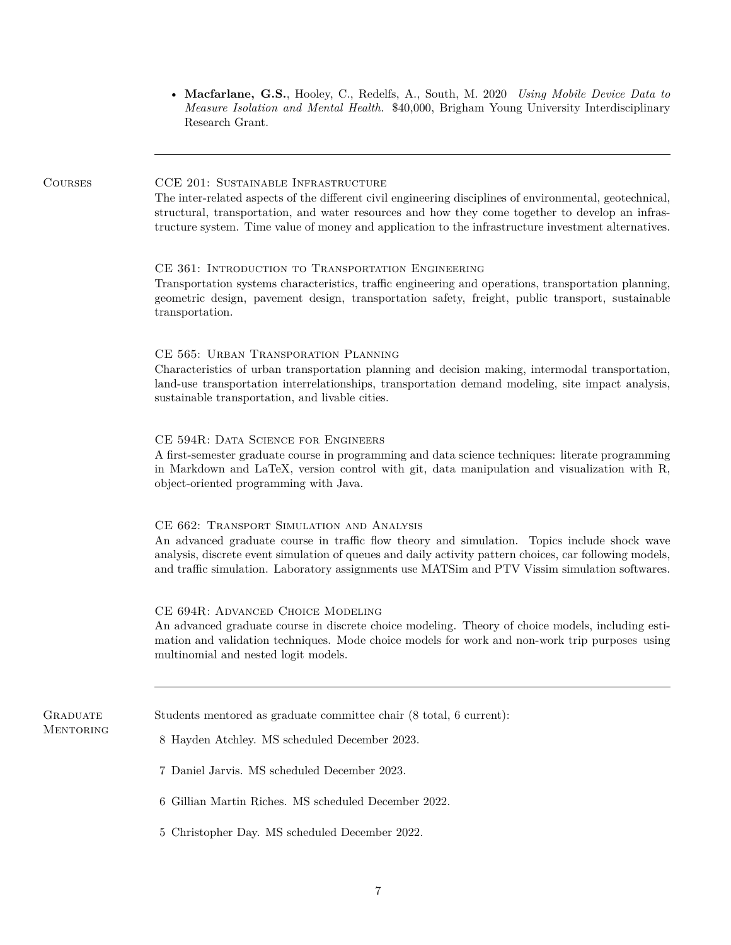• **Macfarlane, G.S.**, Hooley, C., Redelfs, A., South, M. 2020 *Using Mobile Device Data to Measure Isolation and Mental Health*. \$40,000, Brigham Young University Interdisciplinary Research Grant.

COURSES CCE 201: SUSTAINABLE INFRASTRUCTURE

The inter-related aspects of the different civil engineering disciplines of environmental, geotechnical, structural, transportation, and water resources and how they come together to develop an infrastructure system. Time value of money and application to the infrastructure investment alternatives.

## CE 361: Introduction to Transportation Engineering

Transportation systems characteristics, traffic engineering and operations, transportation planning, geometric design, pavement design, transportation safety, freight, public transport, sustainable transportation.

## CE 565: Urban Transporation Planning

Characteristics of urban transportation planning and decision making, intermodal transportation, land-use transportation interrelationships, transportation demand modeling, site impact analysis, sustainable transportation, and livable cities.

# CE 594R: Data Science for Engineers

A first-semester graduate course in programming and data science techniques: literate programming in Markdown and LaTeX, version control with git, data manipulation and visualization with R, object-oriented programming with Java.

#### CE 662: Transport Simulation and Analysis

An advanced graduate course in traffic flow theory and simulation. Topics include shock wave analysis, discrete event simulation of queues and daily activity pattern choices, car following models, and traffic simulation. Laboratory assignments use MATSim and PTV Vissim simulation softwares.

#### CE 694R: Advanced Choice Modeling

An advanced graduate course in discrete choice modeling. Theory of choice models, including estimation and validation techniques. Mode choice models for work and non-work trip purposes using multinomial and nested logit models.

| GRADUATE  | Students mentored as graduate committee chair (8 total, 6 current): |
|-----------|---------------------------------------------------------------------|
| MENTORING | 8 Hayden Atchley. MS scheduled December 2023.                       |

- 7 Daniel Jarvis. MS scheduled December 2023.
- 6 Gillian Martin Riches. MS scheduled December 2022.
- 5 Christopher Day. MS scheduled December 2022.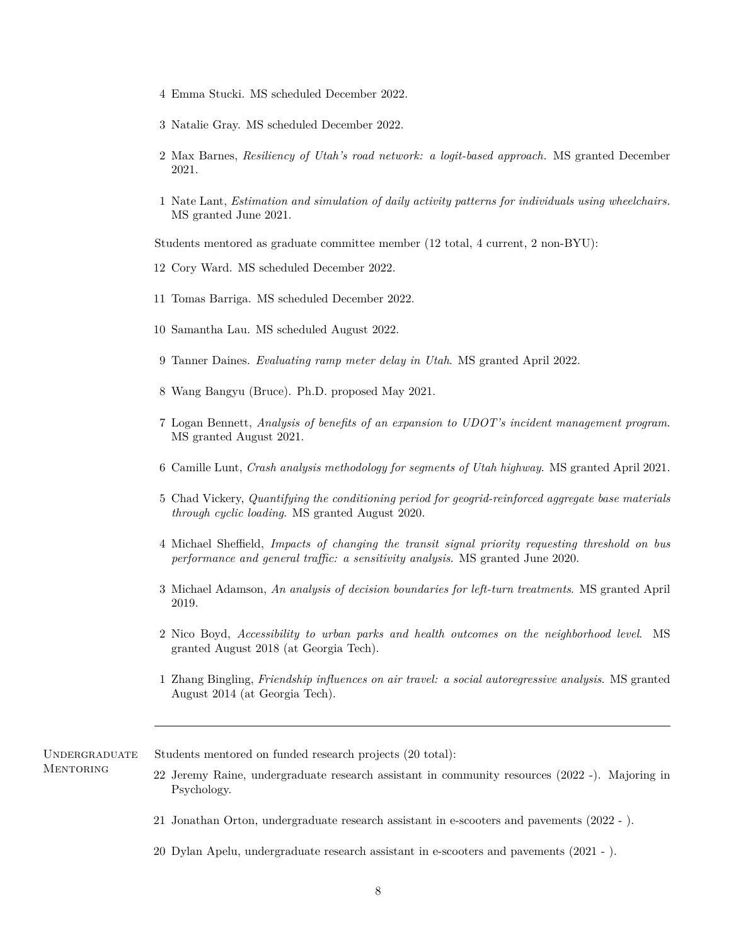- 4 Emma Stucki. MS scheduled December 2022.
- 3 Natalie Gray. MS scheduled December 2022.
- 2 Max Barnes, *Resiliency of Utah's road network: a logit-based approach.* MS granted December 2021.
- 1 Nate Lant, *Estimation and simulation of daily activity patterns for individuals using wheelchairs.* MS granted June 2021.

Students mentored as graduate committee member (12 total, 4 current, 2 non-BYU):

- 12 Cory Ward. MS scheduled December 2022.
- 11 Tomas Barriga. MS scheduled December 2022.
- 10 Samantha Lau. MS scheduled August 2022.
- 9 Tanner Daines. *Evaluating ramp meter delay in Utah*. MS granted April 2022.
- 8 Wang Bangyu (Bruce). Ph.D. proposed May 2021.
- 7 Logan Bennett, *Analysis of benefits of an expansion to UDOT's incident management program*. MS granted August 2021.
- 6 Camille Lunt, *Crash analysis methodology for segments of Utah highway*. MS granted April 2021.
- 5 Chad Vickery, *Quantifying the conditioning period for geogrid-reinforced aggregate base materials through cyclic loading*. MS granted August 2020.
- 4 Michael Sheffield, *Impacts of changing the transit signal priority requesting threshold on bus performance and general traffic: a sensitivity analysis*. MS granted June 2020.
- 3 Michael Adamson, *An analysis of decision boundaries for left-turn treatments*. MS granted April 2019.
- 2 Nico Boyd, *Accessibility to urban parks and health outcomes on the neighborhood level*. MS granted August 2018 (at Georgia Tech).
- 1 Zhang Bingling, *Friendship influences on air travel: a social autoregressive analysis*. MS granted August 2014 (at Georgia Tech).

Undergraduate **MENTORING** 

Students mentored on funded research projects (20 total):

- 22 Jeremy Raine, undergraduate research assistant in community resources (2022 -). Majoring in Psychology.
- 21 Jonathan Orton, undergraduate research assistant in e-scooters and pavements (2022 ).
- 20 Dylan Apelu, undergraduate research assistant in e-scooters and pavements (2021 ).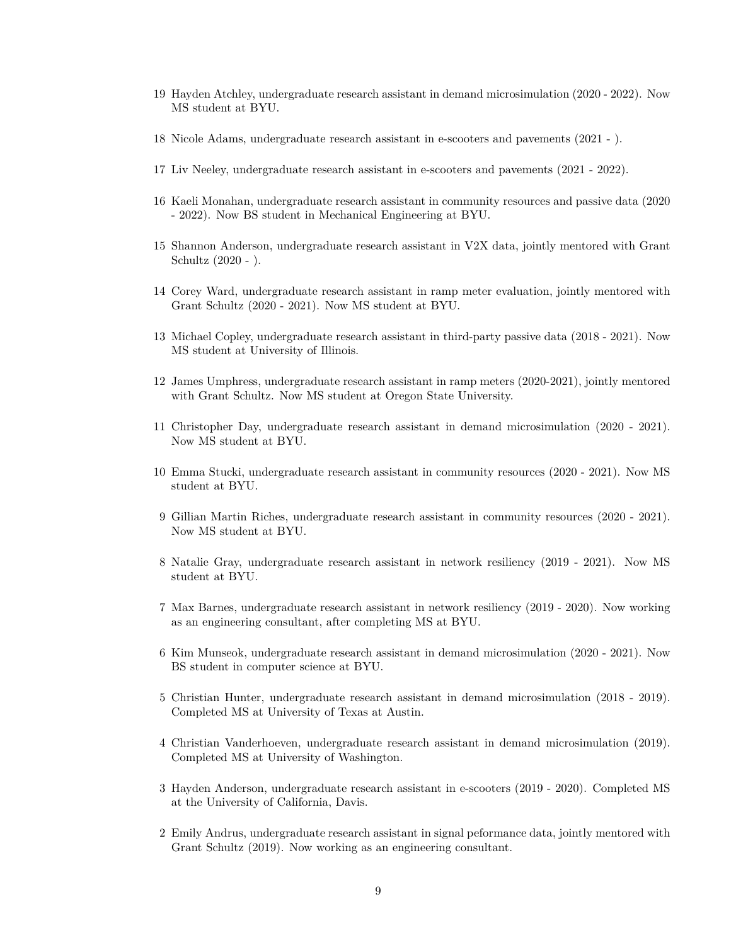- 19 Hayden Atchley, undergraduate research assistant in demand microsimulation (2020 2022). Now MS student at BYU.
- 18 Nicole Adams, undergraduate research assistant in e-scooters and pavements (2021 ).
- 17 Liv Neeley, undergraduate research assistant in e-scooters and pavements (2021 2022).
- 16 Kaeli Monahan, undergraduate research assistant in community resources and passive data (2020 - 2022). Now BS student in Mechanical Engineering at BYU.
- 15 Shannon Anderson, undergraduate research assistant in V2X data, jointly mentored with Grant Schultz (2020 - ).
- 14 Corey Ward, undergraduate research assistant in ramp meter evaluation, jointly mentored with Grant Schultz (2020 - 2021). Now MS student at BYU.
- 13 Michael Copley, undergraduate research assistant in third-party passive data (2018 2021). Now MS student at University of Illinois.
- 12 James Umphress, undergraduate research assistant in ramp meters (2020-2021), jointly mentored with Grant Schultz. Now MS student at Oregon State University.
- 11 Christopher Day, undergraduate research assistant in demand microsimulation (2020 2021). Now MS student at BYU.
- 10 Emma Stucki, undergraduate research assistant in community resources (2020 2021). Now MS student at BYU.
- 9 Gillian Martin Riches, undergraduate research assistant in community resources (2020 2021). Now MS student at BYU.
- 8 Natalie Gray, undergraduate research assistant in network resiliency (2019 2021). Now MS student at BYU.
- 7 Max Barnes, undergraduate research assistant in network resiliency (2019 2020). Now working as an engineering consultant, after completing MS at BYU.
- 6 Kim Munseok, undergraduate research assistant in demand microsimulation (2020 2021). Now BS student in computer science at BYU.
- 5 Christian Hunter, undergraduate research assistant in demand microsimulation (2018 2019). Completed MS at University of Texas at Austin.
- 4 Christian Vanderhoeven, undergraduate research assistant in demand microsimulation (2019). Completed MS at University of Washington.
- 3 Hayden Anderson, undergraduate research assistant in e-scooters (2019 2020). Completed MS at the University of California, Davis.
- 2 Emily Andrus, undergraduate research assistant in signal peformance data, jointly mentored with Grant Schultz (2019). Now working as an engineering consultant.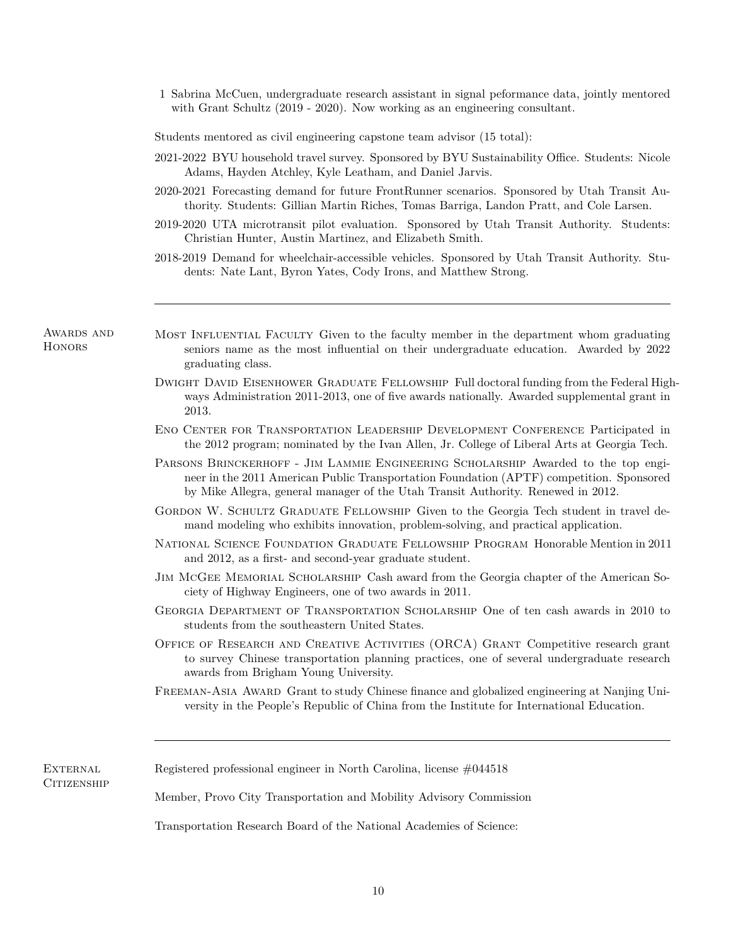1 Sabrina McCuen, undergraduate research assistant in signal peformance data, jointly mentored with Grant Schultz (2019 - 2020). Now working as an engineering consultant.

Students mentored as civil engineering capstone team advisor (15 total):

- 2021-2022 BYU household travel survey. Sponsored by BYU Sustainability Office. Students: Nicole Adams, Hayden Atchley, Kyle Leatham, and Daniel Jarvis.
- 2020-2021 Forecasting demand for future FrontRunner scenarios. Sponsored by Utah Transit Authority. Students: Gillian Martin Riches, Tomas Barriga, Landon Pratt, and Cole Larsen.
- 2019-2020 UTA microtransit pilot evaluation. Sponsored by Utah Transit Authority. Students: Christian Hunter, Austin Martinez, and Elizabeth Smith.
- 2018-2019 Demand for wheelchair-accessible vehicles. Sponsored by Utah Transit Authority. Students: Nate Lant, Byron Yates, Cody Irons, and Matthew Strong.

Awards and **HONORS** 

- MOST INFLUENTIAL FACULTY Given to the faculty member in the department whom graduating seniors name as the most influential on their undergraduate education. Awarded by 2022 graduating class.
- Dwight David Eisenhower Graduate Fellowship Full doctoral funding from the Federal Highways Administration 2011-2013, one of five awards nationally. Awarded supplemental grant in 2013.
- Eno Center for Transportation Leadership Development Conference Participated in the 2012 program; nominated by the Ivan Allen, Jr. College of Liberal Arts at Georgia Tech.
- Parsons Brinckerhoff Jim Lammie Engineering Scholarship Awarded to the top engineer in the 2011 American Public Transportation Foundation (APTF) competition. Sponsored by Mike Allegra, general manager of the Utah Transit Authority. Renewed in 2012.
- GORDON W. SCHULTZ GRADUATE FELLOWSHIP Given to the Georgia Tech student in travel demand modeling who exhibits innovation, problem-solving, and practical application.
- National Science Foundation Graduate Fellowship Program Honorable Mention in 2011 and 2012, as a first- and second-year graduate student.
- Jim McGee Memorial Scholarship Cash award from the Georgia chapter of the American Society of Highway Engineers, one of two awards in 2011.
- Georgia Department of Transportation Scholarship One of ten cash awards in 2010 to students from the southeastern United States.
- Office of Research and Creative Activities (ORCA) Grant Competitive research grant to survey Chinese transportation planning practices, one of several undergraduate research awards from Brigham Young University.
- FREEMAN-ASIA AWARD Grant to study Chinese finance and globalized engineering at Nanjing University in the People's Republic of China from the Institute for International Education.

| EXTERNAL           | Registered professional engineer in North Carolina, license $\#044518$ |
|--------------------|------------------------------------------------------------------------|
| <b>CITIZENSHIP</b> |                                                                        |
|                    | Member, Provo City Transportation and Mobility Advisory Commission     |
|                    | Transportation Research Board of the National Academies of Science:    |